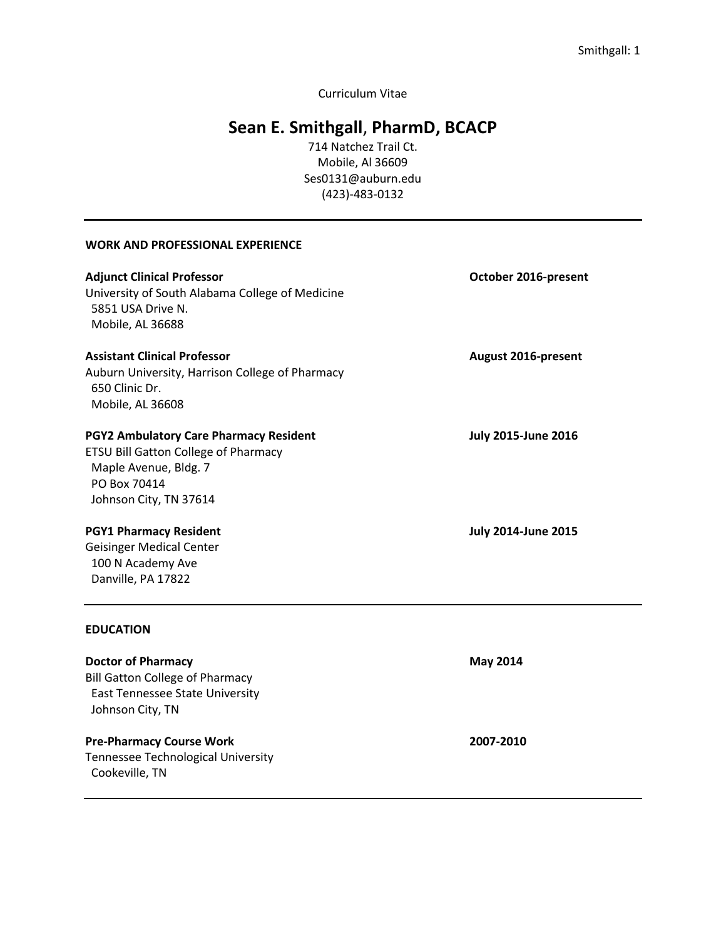Curriculum Vitae

# **Sean E. Smithgall**, **PharmD, BCACP**

714 Natchez Trail Ct. Mobile, Al 36609 Ses0131@auburn.edu (423)-483-0132

#### **WORK AND PROFESSIONAL EXPERIENCE**

East Tennessee State University

Tennessee Technological University

Johnson City, TN

Cookeville, TN

| <b>Adjunct Clinical Professor</b><br>University of South Alabama College of Medicine<br>5851 USA Drive N.<br>Mobile, AL 36688 | October 2016-present       |
|-------------------------------------------------------------------------------------------------------------------------------|----------------------------|
| <b>Assistant Clinical Professor</b>                                                                                           | August 2016-present        |
| Auburn University, Harrison College of Pharmacy<br>650 Clinic Dr.                                                             |                            |
| Mobile, AL 36608                                                                                                              |                            |
| <b>PGY2 Ambulatory Care Pharmacy Resident</b>                                                                                 | <b>July 2015-June 2016</b> |
| <b>ETSU Bill Gatton College of Pharmacy</b>                                                                                   |                            |
| Maple Avenue, Bldg. 7                                                                                                         |                            |
| PO Box 70414                                                                                                                  |                            |
| Johnson City, TN 37614                                                                                                        |                            |
| <b>PGY1 Pharmacy Resident</b>                                                                                                 | <b>July 2014-June 2015</b> |
| <b>Geisinger Medical Center</b>                                                                                               |                            |
| 100 N Academy Ave                                                                                                             |                            |
| Danville, PA 17822                                                                                                            |                            |
| <b>EDUCATION</b>                                                                                                              |                            |
| <b>Doctor of Pharmacy</b>                                                                                                     | <b>May 2014</b>            |
| <b>Bill Gatton College of Pharmacy</b>                                                                                        |                            |

**Pre-Pharmacy Course Work 2007-2010**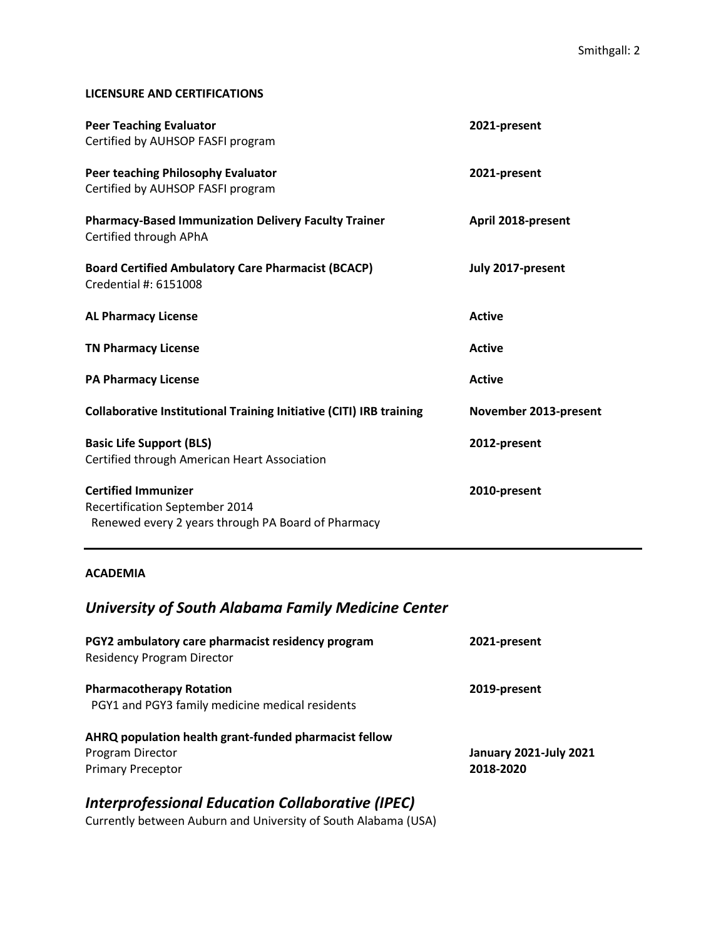#### **LICENSURE AND CERTIFICATIONS**

| <b>Peer Teaching Evaluator</b><br>Certified by AUHSOP FASFI program                                                | 2021-present          |
|--------------------------------------------------------------------------------------------------------------------|-----------------------|
| Peer teaching Philosophy Evaluator<br>Certified by AUHSOP FASFI program                                            | 2021-present          |
| <b>Pharmacy-Based Immunization Delivery Faculty Trainer</b><br>Certified through APhA                              | April 2018-present    |
| <b>Board Certified Ambulatory Care Pharmacist (BCACP)</b><br>Credential #: 6151008                                 | July 2017-present     |
| <b>AL Pharmacy License</b>                                                                                         | <b>Active</b>         |
| <b>TN Pharmacy License</b>                                                                                         | <b>Active</b>         |
| <b>PA Pharmacy License</b>                                                                                         | <b>Active</b>         |
| <b>Collaborative Institutional Training Initiative (CITI) IRB training</b>                                         | November 2013-present |
| <b>Basic Life Support (BLS)</b><br>Certified through American Heart Association                                    | 2012-present          |
| <b>Certified Immunizer</b><br>Recertification September 2014<br>Renewed every 2 years through PA Board of Pharmacy | 2010-present          |

#### **ACADEMIA**

## *University of South Alabama Family Medicine Center*

| PGY2 ambulatory care pharmacist residency program<br><b>Residency Program Director</b> | 2021-present                  |
|----------------------------------------------------------------------------------------|-------------------------------|
| <b>Pharmacotherapy Rotation</b><br>PGY1 and PGY3 family medicine medical residents     | 2019-present                  |
| AHRQ population health grant-funded pharmacist fellow<br>Program Director              | <b>January 2021-July 2021</b> |
| <b>Primary Preceptor</b>                                                               | 2018-2020                     |

## *Interprofessional Education Collaborative (IPEC)*

Currently between Auburn and University of South Alabama (USA)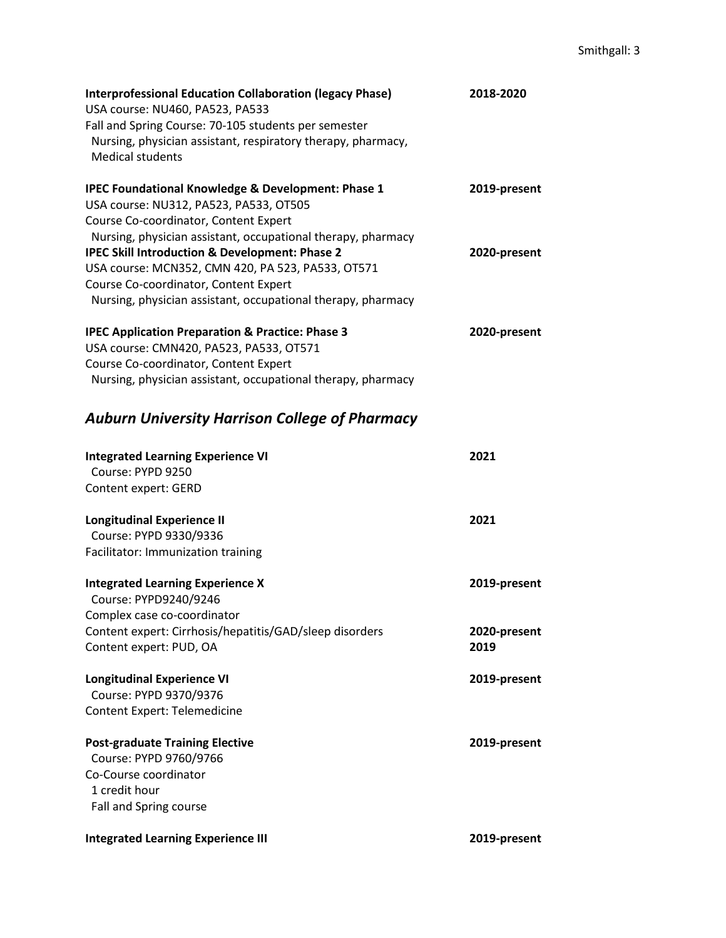| <b>Interprofessional Education Collaboration (legacy Phase)</b><br>USA course: NU460, PA523, PA533 | 2018-2020    |
|----------------------------------------------------------------------------------------------------|--------------|
| Fall and Spring Course: 70-105 students per semester                                               |              |
| Nursing, physician assistant, respiratory therapy, pharmacy,                                       |              |
| <b>Medical students</b>                                                                            |              |
|                                                                                                    |              |
| <b>IPEC Foundational Knowledge &amp; Development: Phase 1</b>                                      | 2019-present |
| USA course: NU312, PA523, PA533, OT505                                                             |              |
| Course Co-coordinator, Content Expert                                                              |              |
| Nursing, physician assistant, occupational therapy, pharmacy                                       |              |
| <b>IPEC Skill Introduction &amp; Development: Phase 2</b>                                          | 2020-present |
| USA course: MCN352, CMN 420, PA 523, PA533, OT571                                                  |              |
| Course Co-coordinator, Content Expert                                                              |              |
| Nursing, physician assistant, occupational therapy, pharmacy                                       |              |
| <b>IPEC Application Preparation &amp; Practice: Phase 3</b>                                        | 2020-present |
| USA course: CMN420, PA523, PA533, OT571                                                            |              |
| Course Co-coordinator, Content Expert                                                              |              |
| Nursing, physician assistant, occupational therapy, pharmacy                                       |              |
| <b>Auburn University Harrison College of Pharmacy</b>                                              |              |
|                                                                                                    |              |
| <b>Integrated Learning Experience VI</b>                                                           | 2021         |
| Course: PYPD 9250                                                                                  |              |
| Content expert: GERD                                                                               |              |
| <b>Longitudinal Experience II</b>                                                                  | 2021         |
| Course: PYPD 9330/9336                                                                             |              |
| Facilitator: Immunization training                                                                 |              |
| <b>Integrated Learning Experience X</b>                                                            | 2019-present |
| Course: PYPD9240/9246                                                                              |              |
| Complex case co-coordinator                                                                        |              |
| Content expert: Cirrhosis/hepatitis/GAD/sleep disorders                                            | 2020-present |
| Content expert: PUD, OA                                                                            | 2019         |
| <b>Longitudinal Experience VI</b>                                                                  | 2019-present |
| Course: PYPD 9370/9376                                                                             |              |
| <b>Content Expert: Telemedicine</b>                                                                |              |
| <b>Post-graduate Training Elective</b>                                                             | 2019-present |
| Course: PYPD 9760/9766                                                                             |              |
| Co-Course coordinator                                                                              |              |
| 1 credit hour                                                                                      |              |
| Fall and Spring course                                                                             |              |
| <b>Integrated Learning Experience III</b>                                                          | 2019-present |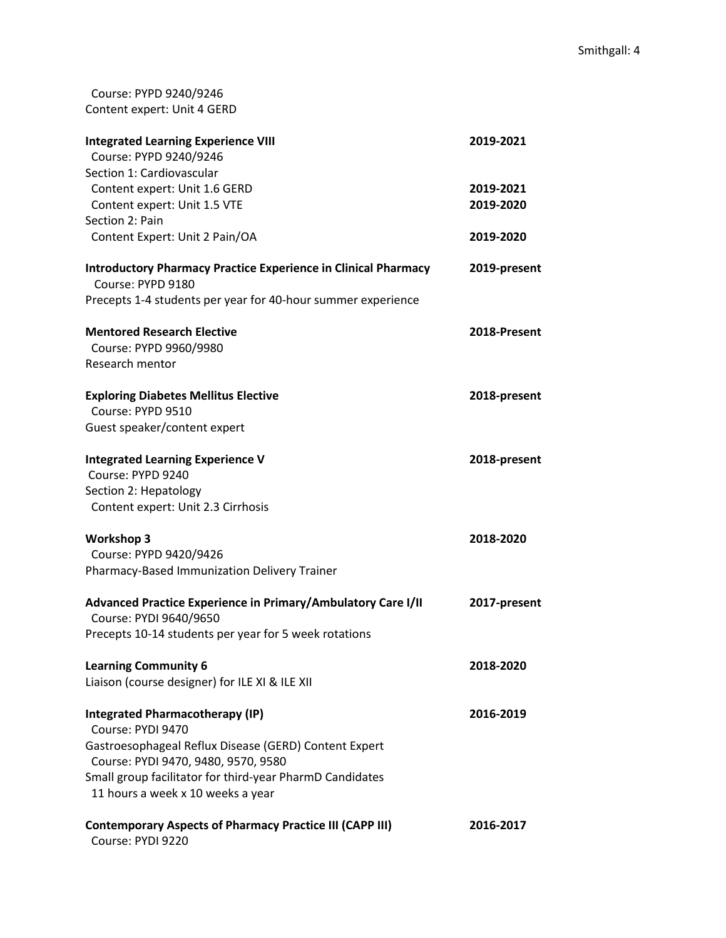Course: PYPD 9240/9246 Content expert: Unit 4 GERD

| <b>Integrated Learning Experience VIII</b>                                                   | 2019-2021    |
|----------------------------------------------------------------------------------------------|--------------|
| Course: PYPD 9240/9246                                                                       |              |
| Section 1: Cardiovascular                                                                    |              |
| Content expert: Unit 1.6 GERD                                                                | 2019-2021    |
| Content expert: Unit 1.5 VTE                                                                 | 2019-2020    |
| Section 2: Pain                                                                              |              |
| Content Expert: Unit 2 Pain/OA                                                               | 2019-2020    |
| <b>Introductory Pharmacy Practice Experience in Clinical Pharmacy</b><br>Course: PYPD 9180   | 2019-present |
| Precepts 1-4 students per year for 40-hour summer experience                                 |              |
| <b>Mentored Research Elective</b>                                                            | 2018-Present |
| Course: PYPD 9960/9980                                                                       |              |
| Research mentor                                                                              |              |
| <b>Exploring Diabetes Mellitus Elective</b>                                                  | 2018-present |
| Course: PYPD 9510                                                                            |              |
| Guest speaker/content expert                                                                 |              |
| <b>Integrated Learning Experience V</b>                                                      | 2018-present |
| Course: PYPD 9240                                                                            |              |
| Section 2: Hepatology                                                                        |              |
| Content expert: Unit 2.3 Cirrhosis                                                           |              |
| <b>Workshop 3</b>                                                                            | 2018-2020    |
| Course: PYPD 9420/9426                                                                       |              |
| Pharmacy-Based Immunization Delivery Trainer                                                 |              |
| Advanced Practice Experience in Primary/Ambulatory Care I/II                                 | 2017-present |
| Course: PYDI 9640/9650                                                                       |              |
| Precepts 10-14 students per year for 5 week rotations                                        |              |
| <b>Learning Community 6</b>                                                                  | 2018-2020    |
| Liaison (course designer) for ILE XI & ILE XII                                               |              |
| <b>Integrated Pharmacotherapy (IP)</b>                                                       | 2016-2019    |
| Course: PYDI 9470                                                                            |              |
| Gastroesophageal Reflux Disease (GERD) Content Expert<br>Course: PYDI 9470, 9480, 9570, 9580 |              |
| Small group facilitator for third-year PharmD Candidates                                     |              |
| 11 hours a week x 10 weeks a year                                                            |              |
| <b>Contemporary Aspects of Pharmacy Practice III (CAPP III)</b><br>Course: PYDI 9220         | 2016-2017    |
|                                                                                              |              |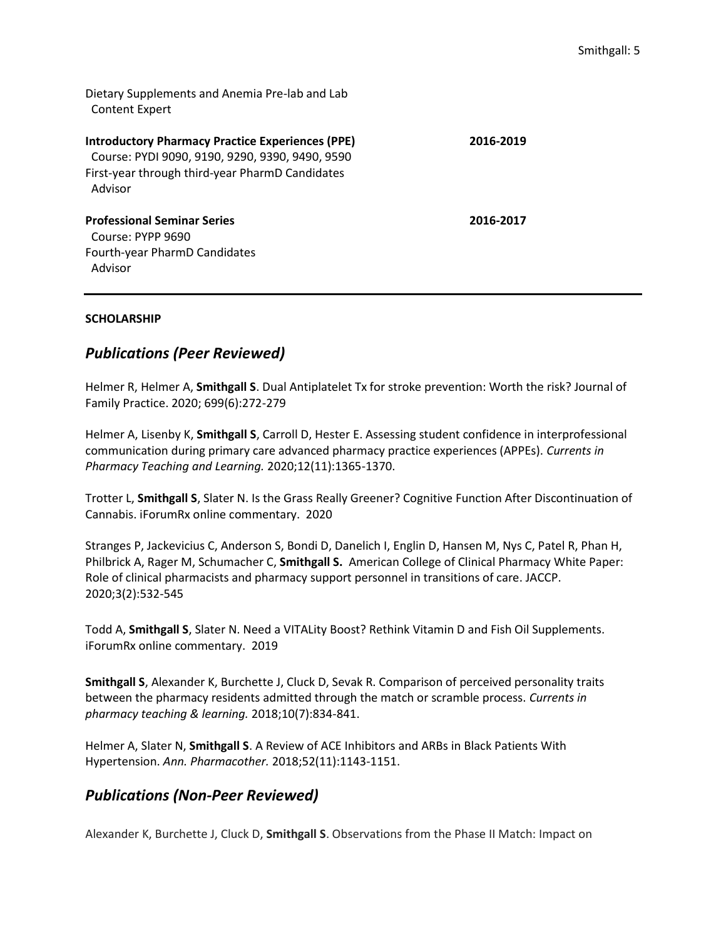Dietary Supplements and Anemia Pre-lab and Lab Content Expert

| <b>Introductory Pharmacy Practice Experiences (PPE)</b><br>Course: PYDI 9090, 9190, 9290, 9390, 9490, 9590<br>First-year through third-year PharmD Candidates<br>Advisor | 2016-2019 |
|--------------------------------------------------------------------------------------------------------------------------------------------------------------------------|-----------|
| <b>Professional Seminar Series</b><br>Course: PYPP 9690                                                                                                                  | 2016-2017 |
| Fourth-year PharmD Candidates<br>Advisor                                                                                                                                 |           |

#### **SCHOLARSHIP**

## *Publications (Peer Reviewed)*

Helmer R, Helmer A, **Smithgall S**. Dual Antiplatelet Tx for stroke prevention: Worth the risk? Journal of Family Practice. 2020; 699(6):272-279

Helmer A, Lisenby K, **Smithgall S**, Carroll D, Hester E. Assessing student confidence in interprofessional communication during primary care advanced pharmacy practice experiences (APPEs). *Currents in Pharmacy Teaching and Learning.* 2020;12(11):1365-1370.

Trotter L, **Smithgall S**, Slater N. Is the Grass Really Greener? Cognitive Function After Discontinuation of Cannabis. iForumRx online commentary. 2020

Stranges P, Jackevicius C, Anderson S, Bondi D, Danelich I, Englin D, Hansen M, Nys C, Patel R, Phan H, Philbrick A, Rager M, Schumacher C, **Smithgall S.** American College of Clinical Pharmacy White Paper: Role of clinical pharmacists and pharmacy support personnel in transitions of care. JACCP. 2020;3(2):532-545

Todd A, **Smithgall S**, Slater N. Need a VITALity Boost? Rethink Vitamin D and Fish Oil Supplements. iForumRx online commentary. 2019

**Smithgall S**, Alexander K, Burchette J, Cluck D, Sevak R. Comparison of perceived personality traits between the pharmacy residents admitted through the match or scramble process. *Currents in pharmacy teaching & learning.* 2018;10(7):834-841.

Helmer A, Slater N, **Smithgall S**. A Review of ACE Inhibitors and ARBs in Black Patients With Hypertension. *Ann. Pharmacother.* 2018;52(11):1143-1151.

## *Publications (Non-Peer Reviewed)*

Alexander K, Burchette J, Cluck D, **Smithgall S**. Observations from the Phase II Match: Impact on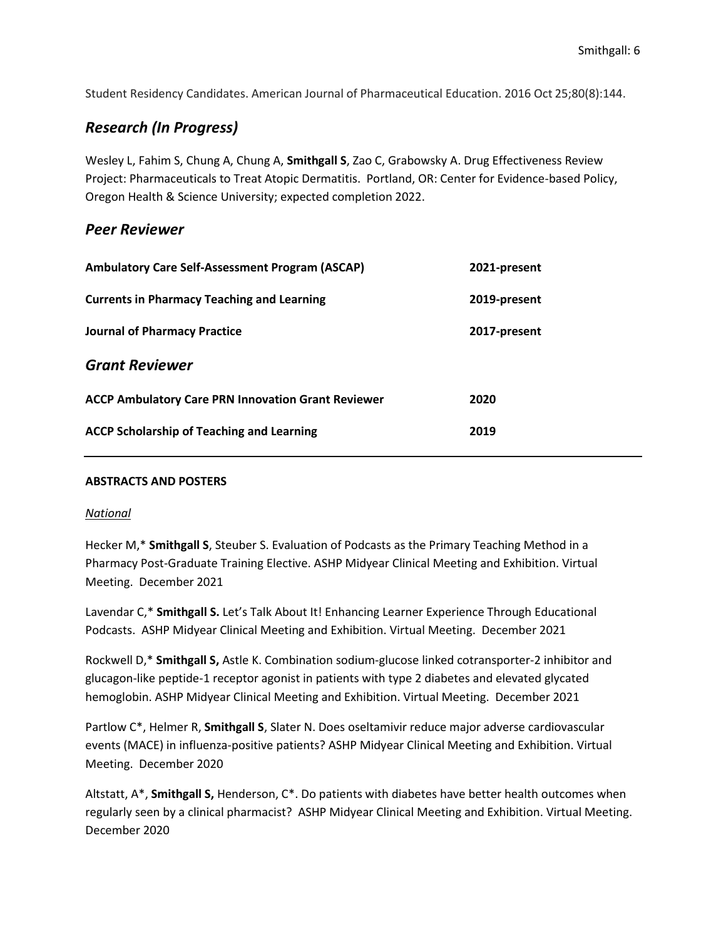Student Residency Candidates. American Journal of Pharmaceutical Education. 2016 Oct 25;80(8):144.

## *Research (In Progress)*

Wesley L, Fahim S, Chung A, Chung A, **Smithgall S**, Zao C, Grabowsky A. Drug Effectiveness Review Project: Pharmaceuticals to Treat Atopic Dermatitis. Portland, OR: Center for Evidence-based Policy, Oregon Health & Science University; expected completion 2022.

## *Peer Reviewer*

| <b>Ambulatory Care Self-Assessment Program (ASCAP)</b>    | 2021-present |
|-----------------------------------------------------------|--------------|
| <b>Currents in Pharmacy Teaching and Learning</b>         | 2019-present |
| <b>Journal of Pharmacy Practice</b>                       | 2017-present |
| <b>Grant Reviewer</b>                                     |              |
| <b>ACCP Ambulatory Care PRN Innovation Grant Reviewer</b> | 2020         |
| <b>ACCP Scholarship of Teaching and Learning</b>          | 2019         |

#### **ABSTRACTS AND POSTERS**

#### *National*

Hecker M,\* **Smithgall S**, Steuber S. Evaluation of Podcasts as the Primary Teaching Method in a Pharmacy Post-Graduate Training Elective. ASHP Midyear Clinical Meeting and Exhibition. Virtual Meeting. December 2021

Lavendar C,\* **Smithgall S.** Let's Talk About It! Enhancing Learner Experience Through Educational Podcasts. ASHP Midyear Clinical Meeting and Exhibition. Virtual Meeting. December 2021

Rockwell D,\* **Smithgall S,** Astle K. Combination sodium-glucose linked cotransporter-2 inhibitor and glucagon-like peptide-1 receptor agonist in patients with type 2 diabetes and elevated glycated hemoglobin. ASHP Midyear Clinical Meeting and Exhibition. Virtual Meeting. December 2021

Partlow C\*, Helmer R, **Smithgall S**, Slater N. Does oseltamivir reduce major adverse cardiovascular events (MACE) in influenza-positive patients? ASHP Midyear Clinical Meeting and Exhibition. Virtual Meeting. December 2020

Altstatt, A\*, **Smithgall S,** Henderson, C\*. Do patients with diabetes have better health outcomes when regularly seen by a clinical pharmacist? ASHP Midyear Clinical Meeting and Exhibition. Virtual Meeting. December 2020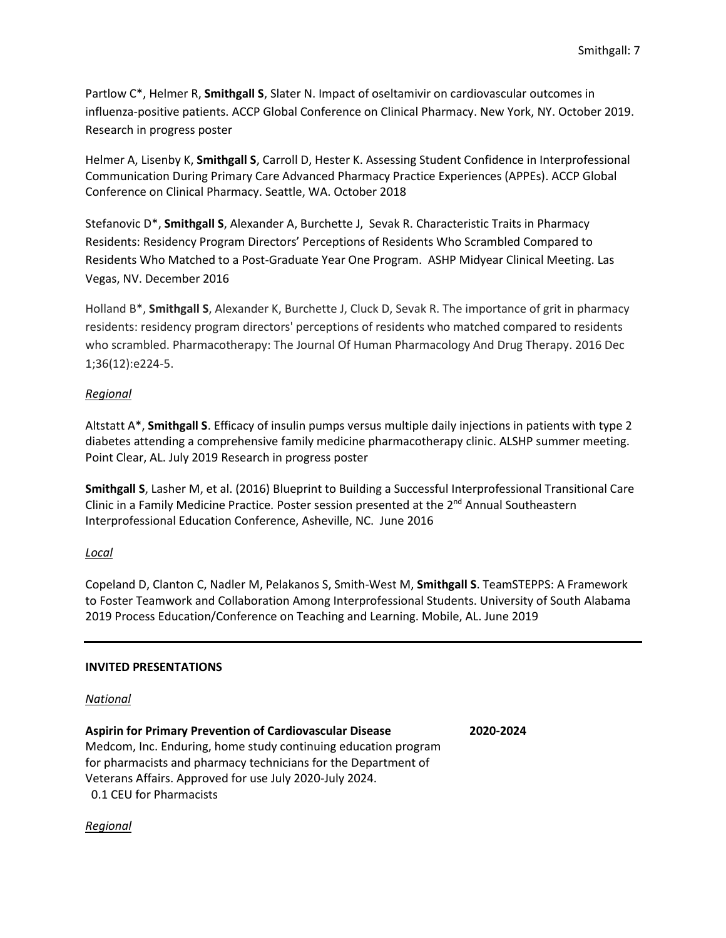Partlow C\*, Helmer R, **Smithgall S**, Slater N. Impact of oseltamivir on cardiovascular outcomes in influenza-positive patients. ACCP Global Conference on Clinical Pharmacy. New York, NY. October 2019. Research in progress poster

Helmer A, Lisenby K, **Smithgall S**, Carroll D, Hester K. Assessing Student Confidence in Interprofessional Communication During Primary Care Advanced Pharmacy Practice Experiences (APPEs). ACCP Global Conference on Clinical Pharmacy. Seattle, WA. October 2018

Stefanovic D\*, **Smithgall S**, Alexander A, Burchette J, Sevak R. Characteristic Traits in Pharmacy Residents: Residency Program Directors' Perceptions of Residents Who Scrambled Compared to Residents Who Matched to a Post-Graduate Year One Program. ASHP Midyear Clinical Meeting. Las Vegas, NV. December 2016

Holland B\*, **Smithgall S**, Alexander K, Burchette J, Cluck D, Sevak R. The importance of grit in pharmacy residents: residency program directors' perceptions of residents who matched compared to residents who scrambled. Pharmacotherapy: The Journal Of Human Pharmacology And Drug Therapy. 2016 Dec 1;36(12):e224-5.

## *Regional*

Altstatt A\*, **Smithgall S**. Efficacy of insulin pumps versus multiple daily injections in patients with type 2 diabetes attending a comprehensive family medicine pharmacotherapy clinic. ALSHP summer meeting. Point Clear, AL. July 2019 Research in progress poster

**Smithgall S**, Lasher M, et al. (2016) Blueprint to Building a Successful Interprofessional Transitional Care Clinic in a Family Medicine Practice. Poster session presented at the 2<sup>nd</sup> Annual Southeastern Interprofessional Education Conference, Asheville, NC. June 2016

## *Local*

Copeland D, Clanton C, Nadler M, Pelakanos S, Smith-West M, **Smithgall S**. TeamSTEPPS: A Framework to Foster Teamwork and Collaboration Among Interprofessional Students. University of South Alabama 2019 Process Education/Conference on Teaching and Learning. Mobile, AL. June 2019

### **INVITED PRESENTATIONS**

### *National*

**Aspirin for Primary Prevention of Cardiovascular Disease 2020-2024** Medcom, Inc. Enduring, home study continuing education program for pharmacists and pharmacy technicians for the Department of Veterans Affairs. Approved for use July 2020-July 2024. 0.1 CEU for Pharmacists

*Regional*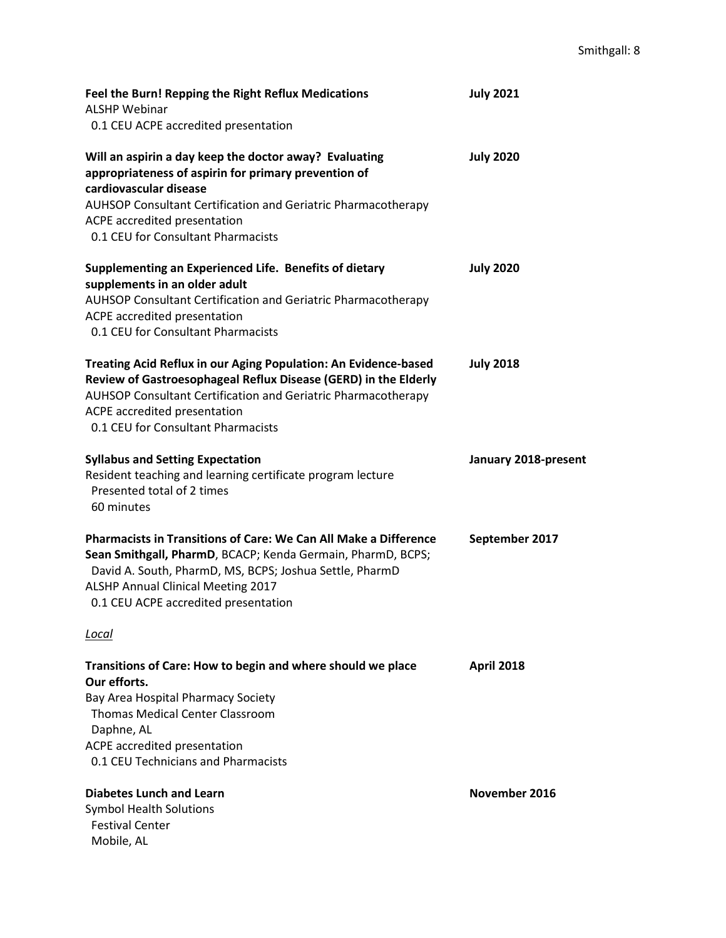| Feel the Burn! Repping the Right Reflux Medications<br><b>ALSHP Webinar</b><br>0.1 CEU ACPE accredited presentation                                                                                                                                                             | <b>July 2021</b>     |
|---------------------------------------------------------------------------------------------------------------------------------------------------------------------------------------------------------------------------------------------------------------------------------|----------------------|
| Will an aspirin a day keep the doctor away? Evaluating<br>appropriateness of aspirin for primary prevention of<br>cardiovascular disease<br>AUHSOP Consultant Certification and Geriatric Pharmacotherapy<br>ACPE accredited presentation<br>0.1 CEU for Consultant Pharmacists | <b>July 2020</b>     |
| Supplementing an Experienced Life. Benefits of dietary<br>supplements in an older adult<br>AUHSOP Consultant Certification and Geriatric Pharmacotherapy<br>ACPE accredited presentation<br>0.1 CEU for Consultant Pharmacists                                                  | <b>July 2020</b>     |
| Treating Acid Reflux in our Aging Population: An Evidence-based<br>Review of Gastroesophageal Reflux Disease (GERD) in the Elderly<br>AUHSOP Consultant Certification and Geriatric Pharmacotherapy<br>ACPE accredited presentation<br>0.1 CEU for Consultant Pharmacists       | <b>July 2018</b>     |
| <b>Syllabus and Setting Expectation</b><br>Resident teaching and learning certificate program lecture<br>Presented total of 2 times<br>60 minutes                                                                                                                               | January 2018-present |
| <b>Pharmacists in Transitions of Care: We Can All Make a Difference</b><br>Sean Smithgall, PharmD, BCACP; Kenda Germain, PharmD, BCPS;<br>David A. South, PharmD, MS, BCPS; Joshua Settle, PharmD<br>ALSHP Annual Clinical Meeting 2017<br>0.1 CEU ACPE accredited presentation | September 2017       |
| <u>Local</u>                                                                                                                                                                                                                                                                    |                      |
| Transitions of Care: How to begin and where should we place<br>Our efforts.<br>Bay Area Hospital Pharmacy Society<br><b>Thomas Medical Center Classroom</b><br>Daphne, AL<br>ACPE accredited presentation<br>0.1 CEU Technicians and Pharmacists                                | <b>April 2018</b>    |
| <b>Diabetes Lunch and Learn</b><br><b>Symbol Health Solutions</b><br><b>Festival Center</b><br>Mobile, AL                                                                                                                                                                       | November 2016        |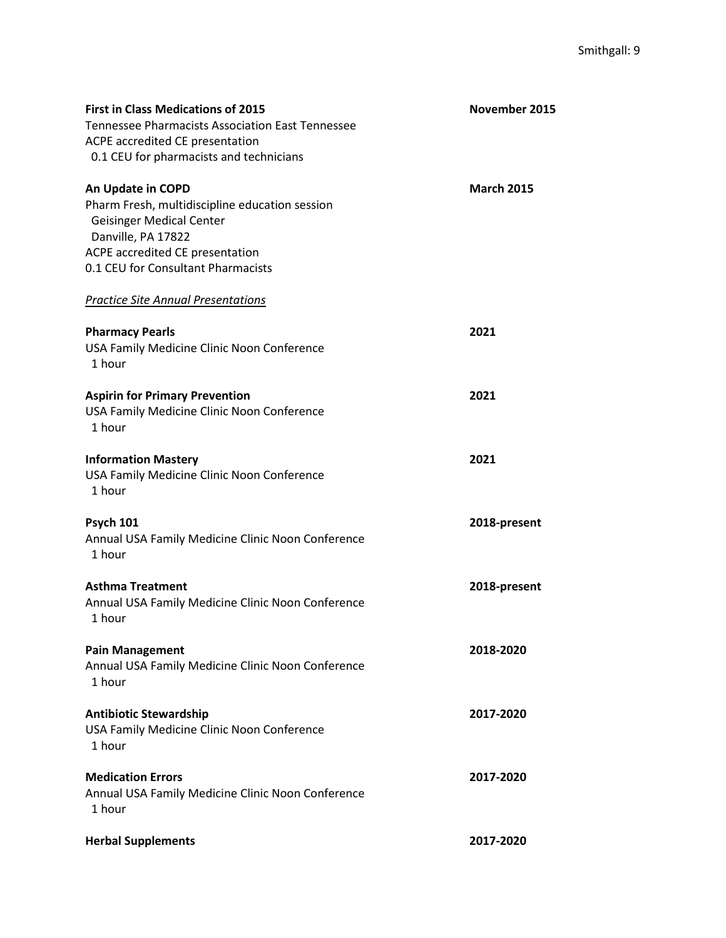| <b>First in Class Medications of 2015</b><br><b>Tennessee Pharmacists Association East Tennessee</b><br>ACPE accredited CE presentation<br>0.1 CEU for pharmacists and technicians                    | November 2015     |
|-------------------------------------------------------------------------------------------------------------------------------------------------------------------------------------------------------|-------------------|
| An Update in COPD<br>Pharm Fresh, multidiscipline education session<br><b>Geisinger Medical Center</b><br>Danville, PA 17822<br>ACPE accredited CE presentation<br>0.1 CEU for Consultant Pharmacists | <b>March 2015</b> |
| <b>Practice Site Annual Presentations</b>                                                                                                                                                             |                   |
| <b>Pharmacy Pearls</b><br>USA Family Medicine Clinic Noon Conference<br>1 hour                                                                                                                        | 2021              |
| <b>Aspirin for Primary Prevention</b><br>USA Family Medicine Clinic Noon Conference<br>1 hour                                                                                                         | 2021              |
| <b>Information Mastery</b><br>USA Family Medicine Clinic Noon Conference<br>1 hour                                                                                                                    | 2021              |
| <b>Psych 101</b><br>Annual USA Family Medicine Clinic Noon Conference<br>1 hour                                                                                                                       | 2018-present      |
| <b>Asthma Treatment</b><br>Annual USA Family Medicine Clinic Noon Conference<br>1 hour                                                                                                                | 2018-present      |
| <b>Pain Management</b><br>Annual USA Family Medicine Clinic Noon Conference<br>1 hour                                                                                                                 | 2018-2020         |
| <b>Antibiotic Stewardship</b><br>USA Family Medicine Clinic Noon Conference<br>1 hour                                                                                                                 | 2017-2020         |
| <b>Medication Errors</b><br>Annual USA Family Medicine Clinic Noon Conference<br>1 hour                                                                                                               | 2017-2020         |
| <b>Herbal Supplements</b>                                                                                                                                                                             | 2017-2020         |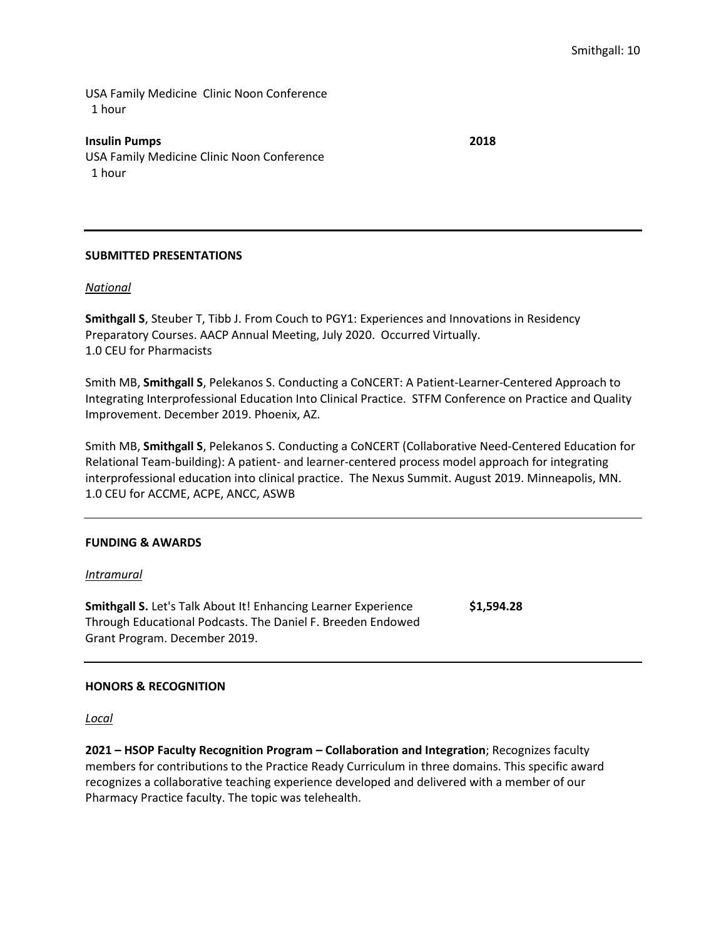USA Family Medicine Clinic Noon Conference 1 hour

**Insulin Pumps 2018** USA Family Medicine Clinic Noon Conference 1 hour

#### **SUBMITTED PRESENTATIONS**

#### *National*

**Smithgall S**, Steuber T, Tibb J. From Couch to PGY1: Experiences and Innovations in Residency Preparatory Courses. AACP Annual Meeting, July 2020. Occurred Virtually. 1.0 CEU for Pharmacists

Smith MB, **Smithgall S**, Pelekanos S. Conducting a CoNCERT: A Patient-Learner-Centered Approach to Integrating Interprofessional Education Into Clinical Practice. STFM Conference on Practice and Quality Improvement. December 2019. Phoenix, AZ.

Smith MB, **Smithgall S**, Pelekanos S. Conducting a CoNCERT (Collaborative Need-Centered Education for Relational Team-building): A patient- and learner-centered process model approach for integrating interprofessional education into clinical practice. The Nexus Summit. August 2019. Minneapolis, MN. 1.0 CEU for ACCME, ACPE, ANCC, ASWB

#### **FUNDING & AWARDS**

#### *Intramural*

**Smithgall S.** Let's Talk About It! Enhancing Learner Experience **\$1,594.28** Through Educational Podcasts. The Daniel F. Breeden Endowed Grant Program. December 2019.

#### **HONORS & RECOGNITION**

*Local*

**2021 – HSOP Faculty Recognition Program – Collaboration and Integration**; Recognizes faculty members for contributions to the Practice Ready Curriculum in three domains. This specific award recognizes a collaborative teaching experience developed and delivered with a member of our Pharmacy Practice faculty. The topic was telehealth.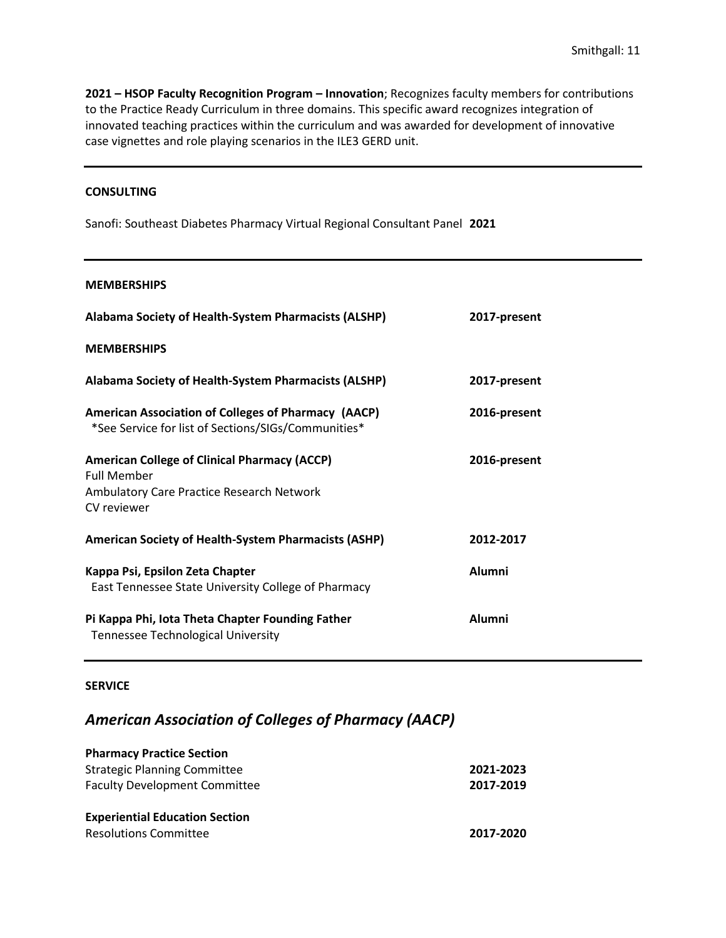**2021 – HSOP Faculty Recognition Program – Innovation**; Recognizes faculty members for contributions to the Practice Ready Curriculum in three domains. This specific award recognizes integration of innovated teaching practices within the curriculum and was awarded for development of innovative case vignettes and role playing scenarios in the ILE3 GERD unit.

#### **CONSULTING**

Sanofi: Southeast Diabetes Pharmacy Virtual Regional Consultant Panel **2021** 

#### **MEMBERSHIPS**

| Alabama Society of Health-System Pharmacists (ALSHP)                                                                                         | 2017-present  |
|----------------------------------------------------------------------------------------------------------------------------------------------|---------------|
| <b>MEMBERSHIPS</b>                                                                                                                           |               |
| Alabama Society of Health-System Pharmacists (ALSHP)                                                                                         | 2017-present  |
| American Association of Colleges of Pharmacy (AACP)<br>*See Service for list of Sections/SIGs/Communities*                                   | 2016-present  |
| <b>American College of Clinical Pharmacy (ACCP)</b><br><b>Full Member</b><br><b>Ambulatory Care Practice Research Network</b><br>CV reviewer | 2016-present  |
| <b>American Society of Health-System Pharmacists (ASHP)</b>                                                                                  | 2012-2017     |
| Kappa Psi, Epsilon Zeta Chapter<br>East Tennessee State University College of Pharmacy                                                       | <b>Alumni</b> |
| Pi Kappa Phi, Iota Theta Chapter Founding Father<br><b>Tennessee Technological University</b>                                                | <b>Alumni</b> |

#### **SERVICE**

## *American Association of Colleges of Pharmacy (AACP)*

| <b>Pharmacy Practice Section</b>      |           |
|---------------------------------------|-----------|
| <b>Strategic Planning Committee</b>   | 2021-2023 |
| <b>Faculty Development Committee</b>  | 2017-2019 |
| <b>Experiential Education Section</b> |           |
| <b>Resolutions Committee</b>          | 2017-2020 |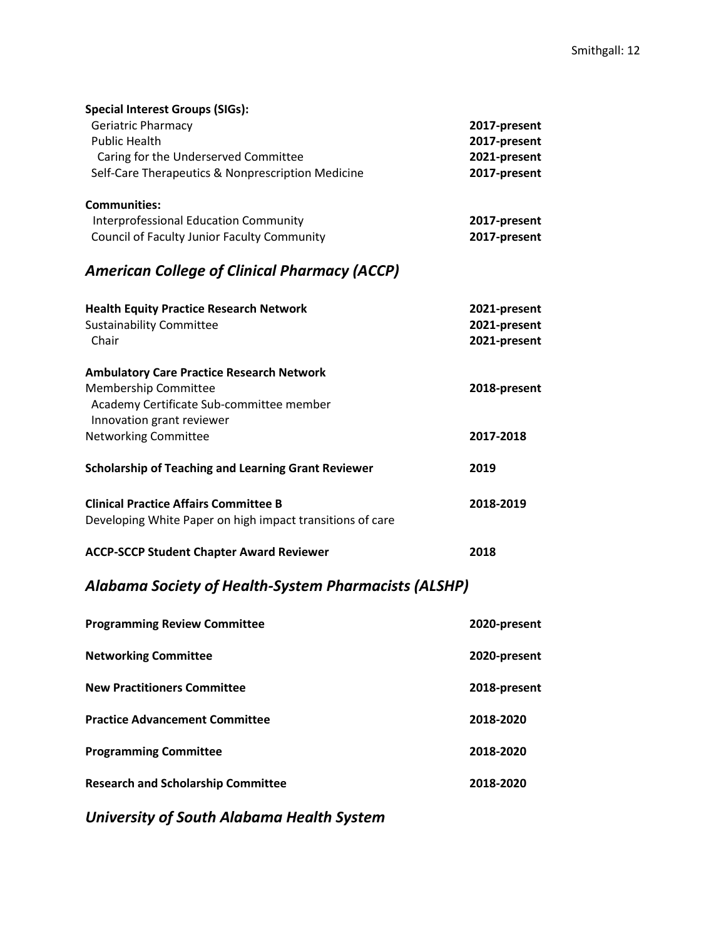| <b>Special Interest Groups (SIGs):</b><br>Geriatric Pharmacy<br><b>Public Health</b><br>Caring for the Underserved Committee<br>Self-Care Therapeutics & Nonprescription Medicine | 2017-present<br>2017-present<br>2021-present<br>2017-present |
|-----------------------------------------------------------------------------------------------------------------------------------------------------------------------------------|--------------------------------------------------------------|
| <b>Communities:</b><br><b>Interprofessional Education Community</b><br><b>Council of Faculty Junior Faculty Community</b>                                                         | 2017-present<br>2017-present                                 |
| <b>American College of Clinical Pharmacy (ACCP)</b>                                                                                                                               |                                                              |
| <b>Health Equity Practice Research Network</b><br><b>Sustainability Committee</b><br>Chair                                                                                        | 2021-present<br>2021-present<br>2021-present                 |
| <b>Ambulatory Care Practice Research Network</b><br>Membership Committee<br>Academy Certificate Sub-committee member<br>Innovation grant reviewer                                 | 2018-present                                                 |
| <b>Networking Committee</b>                                                                                                                                                       | 2017-2018                                                    |
| <b>Scholarship of Teaching and Learning Grant Reviewer</b>                                                                                                                        | 2019                                                         |
| <b>Clinical Practice Affairs Committee B</b><br>Developing White Paper on high impact transitions of care                                                                         | 2018-2019                                                    |
| <b>ACCP-SCCP Student Chapter Award Reviewer</b>                                                                                                                                   | 2018                                                         |

# *Alabama Society of Health-System Pharmacists (ALSHP)*

| <b>Programming Review Committee</b>       | 2020-present |
|-------------------------------------------|--------------|
| <b>Networking Committee</b>               | 2020-present |
| <b>New Practitioners Committee</b>        | 2018-present |
| <b>Practice Advancement Committee</b>     | 2018-2020    |
| <b>Programming Committee</b>              | 2018-2020    |
| <b>Research and Scholarship Committee</b> | 2018-2020    |

*University of South Alabama Health System*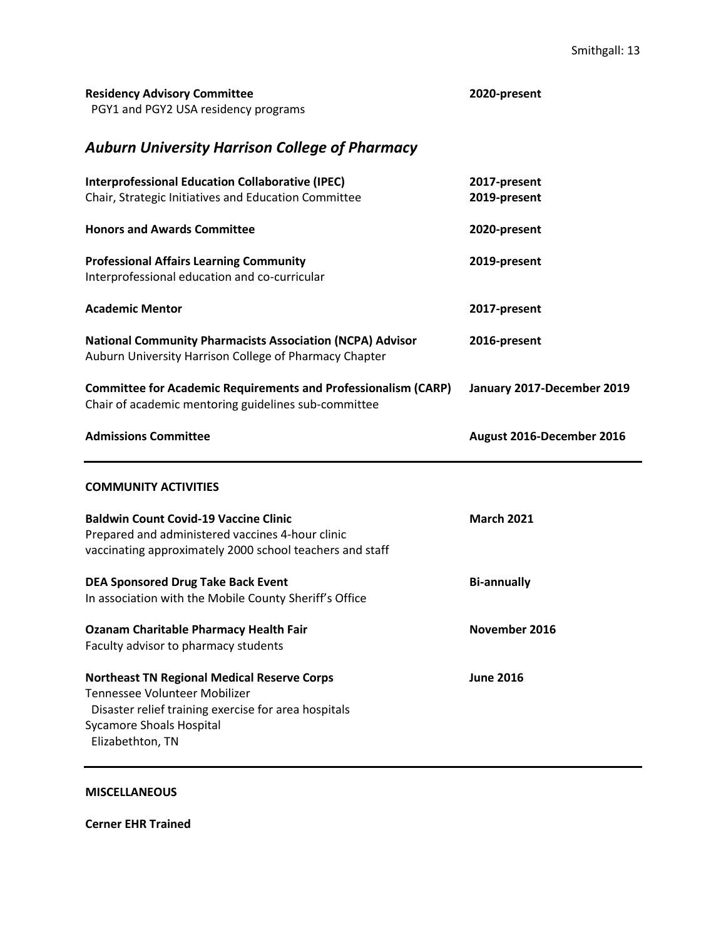|  | <b>Residency Advisory Committee</b> |
|--|-------------------------------------|
|  | $DCVA = A B CVA IICA$               |

**Residency Advisory Committee 2020-present**

PGY1 and PGY2 USA residency programs

# *Auburn University Harrison College of Pharmacy*

| <b>Interprofessional Education Collaborative (IPEC)</b>                                                                    | 2017-present               |
|----------------------------------------------------------------------------------------------------------------------------|----------------------------|
| Chair, Strategic Initiatives and Education Committee                                                                       | 2019-present               |
|                                                                                                                            |                            |
| <b>Honors and Awards Committee</b>                                                                                         | 2020-present               |
|                                                                                                                            |                            |
| <b>Professional Affairs Learning Community</b>                                                                             | 2019-present               |
| Interprofessional education and co-curricular                                                                              |                            |
|                                                                                                                            |                            |
| <b>Academic Mentor</b>                                                                                                     | 2017-present               |
|                                                                                                                            |                            |
| <b>National Community Pharmacists Association (NCPA) Advisor</b><br>Auburn University Harrison College of Pharmacy Chapter | 2016-present               |
|                                                                                                                            |                            |
| <b>Committee for Academic Requirements and Professionalism (CARP)</b>                                                      | January 2017-December 2019 |
| Chair of academic mentoring guidelines sub-committee                                                                       |                            |
|                                                                                                                            |                            |
| <b>Admissions Committee</b>                                                                                                | August 2016-December 2016  |
|                                                                                                                            |                            |
|                                                                                                                            |                            |
|                                                                                                                            |                            |
| <b>COMMUNITY ACTIVITIES</b>                                                                                                |                            |
|                                                                                                                            |                            |
| <b>Baldwin Count Covid-19 Vaccine Clinic</b>                                                                               | <b>March 2021</b>          |
| Prepared and administered vaccines 4-hour clinic                                                                           |                            |
| vaccinating approximately 2000 school teachers and staff                                                                   |                            |
|                                                                                                                            |                            |
| <b>DEA Sponsored Drug Take Back Event</b>                                                                                  | <b>Bi-annually</b>         |
| In association with the Mobile County Sheriff's Office                                                                     |                            |
|                                                                                                                            |                            |
| <b>Ozanam Charitable Pharmacy Health Fair</b>                                                                              | November 2016              |
| Faculty advisor to pharmacy students                                                                                       |                            |
|                                                                                                                            |                            |
| <b>Northeast TN Regional Medical Reserve Corps</b><br>Tennessee Volunteer Mobilizer                                        | <b>June 2016</b>           |
|                                                                                                                            |                            |
| Disaster relief training exercise for area hospitals                                                                       |                            |
| <b>Sycamore Shoals Hospital</b><br>Elizabethton, TN                                                                        |                            |

**MISCELLANEOUS**

**Cerner EHR Trained**